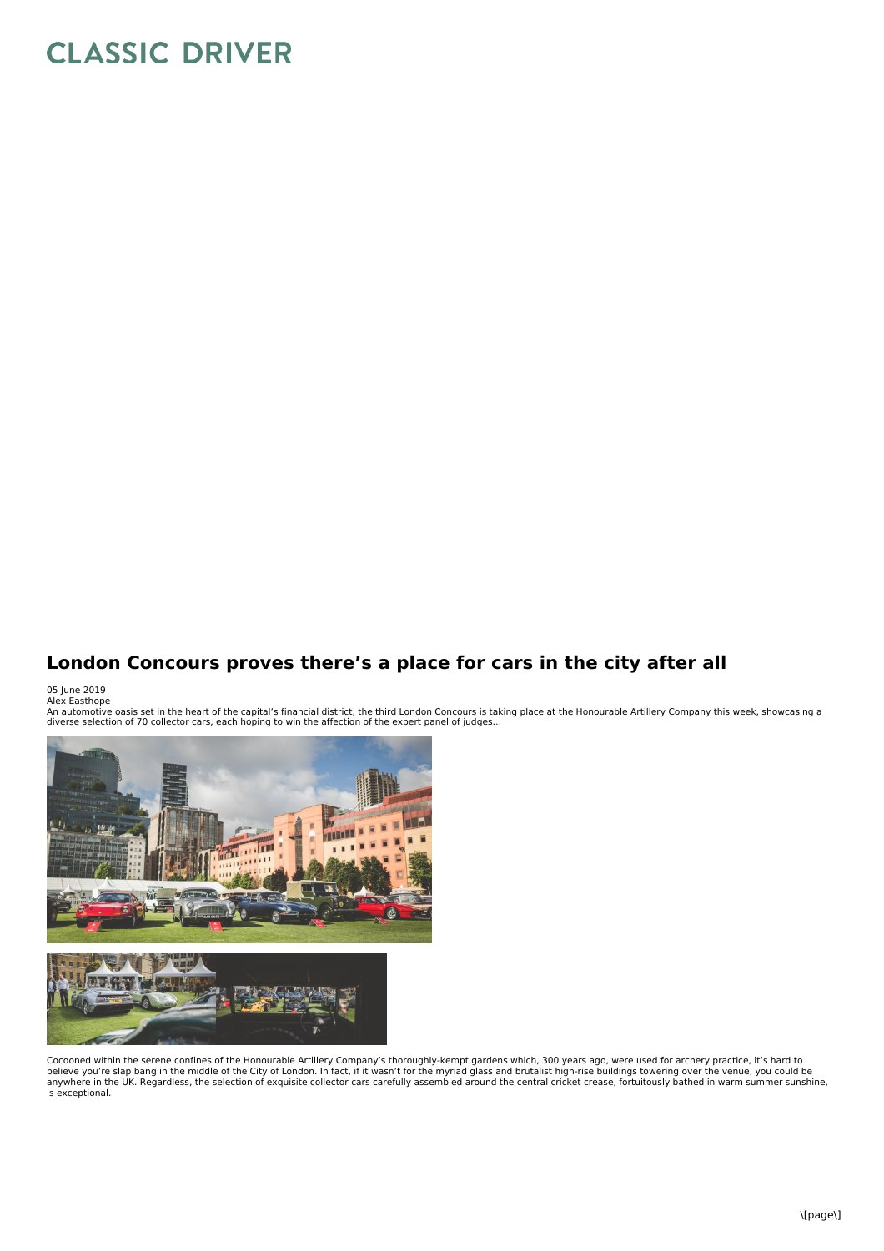## **CLASSIC DRIVER**

## **London Concours proves there's a place for cars in the city after all**

05 June 2019<br>Alex Easthope

An automotive oasis set in the heart of the capital's financial district, the third London Concours is taking place at the Honourable Artillery Company this week, showcasing a<br>diverse selection of 70 collector cars, each h



Cocooned within the serene confines of the Honourable Artillery Company's thoroughly-kempt gardens which, 300 years ago, were used for archery practice, it's hard to<br>believe you're slap bang in the middle of the City of Lo is exceptional.